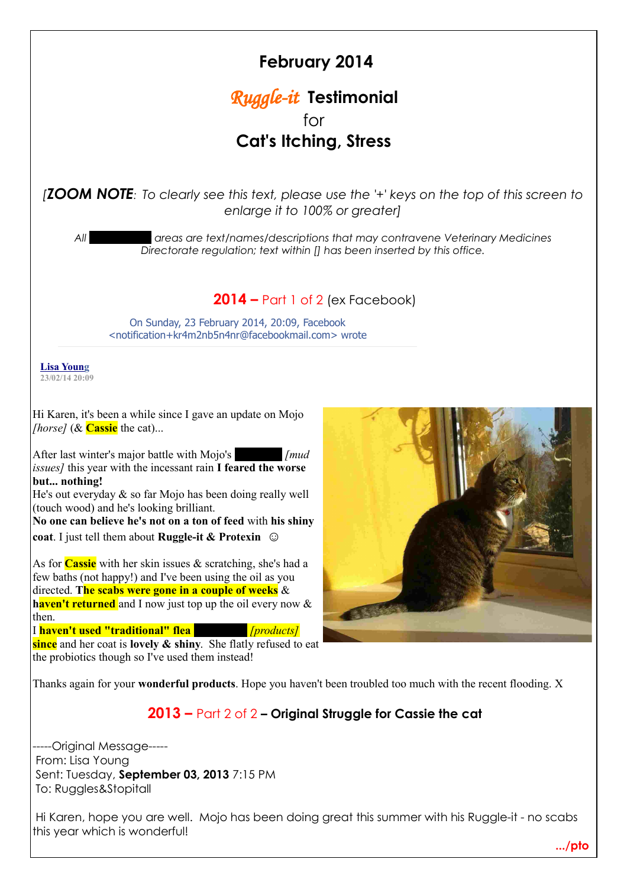